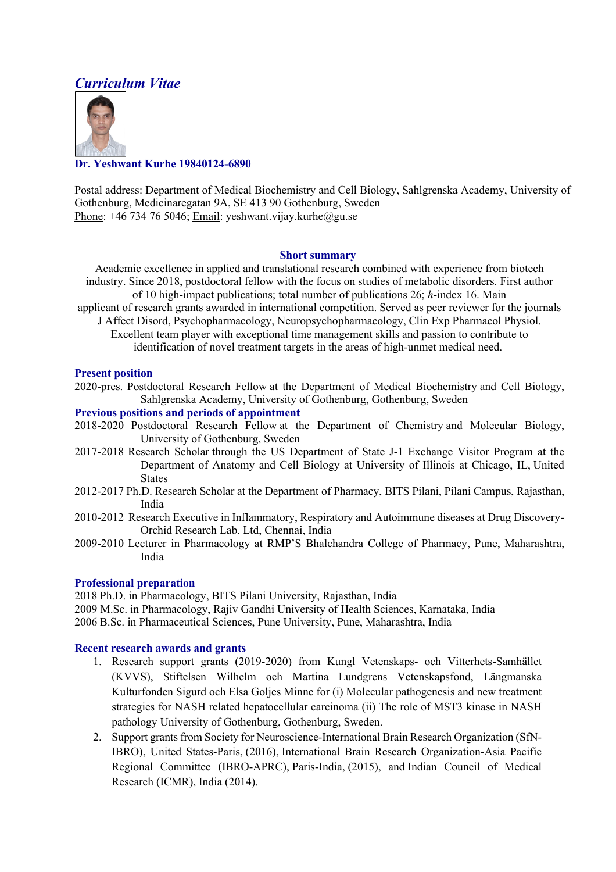# *Curriculum Vitae*



# **Dr. Yeshwant Kurhe 19840124-6890**

Postal address: Department of Medical Biochemistry and Cell Biology, Sahlgrenska Academy, University of Gothenburg, Medicinaregatan 9A, SE 413 90 Gothenburg, Sweden Phone:  $+46734765046$ ; Email: yeshwant.vijay.kurhe@gu.se

## **Short summary**

Academic excellence in applied and translational research combined with experience from biotech industry. Since 2018, postdoctoral fellow with the focus on studies of metabolic disorders. First author of 10 high-impact publications; total number of publications 26; *h*-index 16. Main

- applicant of research grants awarded in international competition. Served as peer reviewer for the journals J Affect Disord, Psychopharmacology, Neuropsychopharmacology, Clin Exp Pharmacol Physiol.
	- Excellent team player with exceptional time management skills and passion to contribute to identification of novel treatment targets in the areas of high-unmet medical need.

## **Present position**

2020-pres. Postdoctoral Research Fellow at the Department of Medical Biochemistry and Cell Biology, Sahlgrenska Academy, University of Gothenburg, Gothenburg, Sweden

#### **Previous positions and periods of appointment**

- 2018-2020 Postdoctoral Research Fellow at the Department of Chemistry and Molecular Biology, University of Gothenburg, Sweden
- 2017-2018 Research Scholar through the US Department of State J-1 Exchange Visitor Program at the Department of Anatomy and Cell Biology at University of Illinois at Chicago, IL, United States
- 2012-2017 Ph.D. Research Scholar at the Department of Pharmacy, BITS Pilani, Pilani Campus, Rajasthan, India
- 2010-2012 Research Executive in Inflammatory, Respiratory and Autoimmune diseases at Drug Discovery-Orchid Research Lab. Ltd, Chennai, India
- 2009-2010 Lecturer in Pharmacology at RMP'S Bhalchandra College of Pharmacy, Pune, Maharashtra, India

# **Professional preparation**

2018 Ph.D. in Pharmacology, BITS Pilani University, Rajasthan, India 2009 M.Sc. in Pharmacology, Rajiv Gandhi University of Health Sciences, Karnataka, India 2006 B.Sc. in Pharmaceutical Sciences, Pune University, Pune, Maharashtra, India

## **Recent research awards and grants**

- 1. Research support grants (2019-2020) from Kungl Vetenskaps- och Vitterhets-Samhället (KVVS), Stiftelsen Wilhelm och Martina Lundgrens Vetenskapsfond, Längmanska Kulturfonden Sigurd och Elsa Goljes Minne for (i) Molecular pathogenesis and new treatment strategies for NASH related hepatocellular carcinoma (ii) The role of MST3 kinase in NASH pathology University of Gothenburg, Gothenburg, Sweden.
- 2. Support grants from Society for Neuroscience-International Brain Research Organization (SfN-IBRO), United States-Paris, (2016), International Brain Research Organization-Asia Pacific Regional Committee (IBRO-APRC), Paris-India, (2015), and Indian Council of Medical Research (ICMR), India (2014).